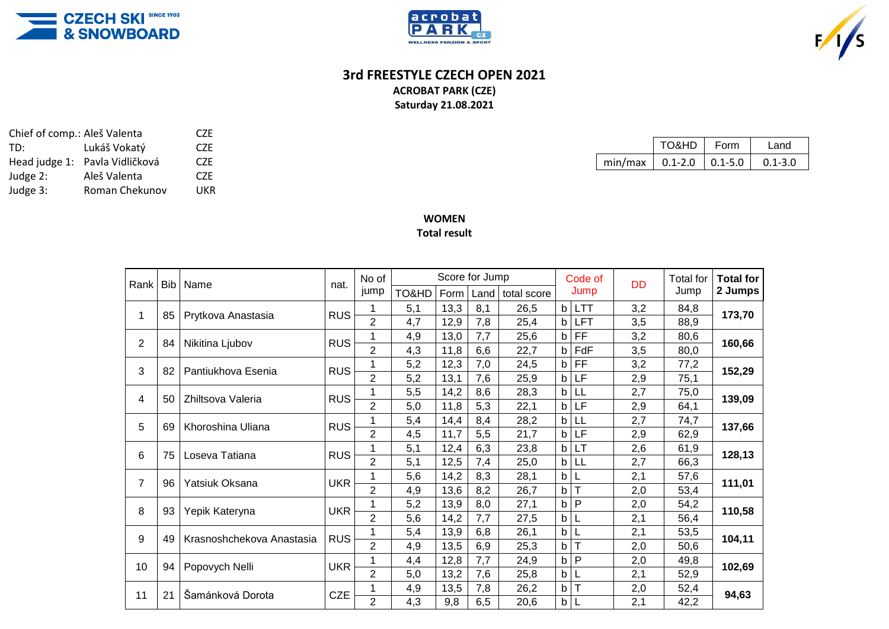





## **3rd FREESTYLE CZECH OPEN 2021 ACROBAT PARK (CZE)**

**Saturday 21.08.2021**

|                                     | TO&HD | Form | I and       |  |  |  |
|-------------------------------------|-------|------|-------------|--|--|--|
| min/max   $0.1 - 2.0$   $0.1 - 5.0$ |       |      | $0.1 - 3.0$ |  |  |  |

| Chief of comp.: Aleš Valenta | CZE                            |      |
|------------------------------|--------------------------------|------|
| TD:                          | Lukáš Vokatý                   | CZE  |
|                              | Head judge 1: Pavla Vidličková | CZE. |
| Judge 2:                     | Aleš Valenta                   | CZE  |
| Judge 3:                     | Roman Chekunov                 | UKR  |

## **WOMEN Total result**

| Rank           | <b>Bib</b> | Name                      | nat.       | Score for Jump<br>No of |       |      |     |                    | Code of     |            | DD  | <b>Total for</b> | <b>Total for</b> |
|----------------|------------|---------------------------|------------|-------------------------|-------|------|-----|--------------------|-------------|------------|-----|------------------|------------------|
|                |            |                           |            | jump                    | TO&HD | Form |     | Land   total score | Jump        |            |     | Jump             | 2 Jumps          |
| 1              | 85         | Prytkova Anastasia        | <b>RUS</b> |                         | 5,1   | 13,3 | 8,1 | 26,5               | $\mathsf b$ | <b>LTT</b> | 3,2 | 84,8             | 173,70           |
|                |            |                           |            | $\overline{2}$          | 4,7   | 12,9 | 7,8 | 25,4               | $\mathbf b$ | <b>LFT</b> | 3,5 | 88,9             |                  |
| $\overline{2}$ | 84         | Nikitina Ljubov           | <b>RUS</b> |                         | 4,9   | 13,0 | 7,7 | 25,6               | b           | FF         | 3,2 | 80,6             | 160,66           |
|                |            |                           |            | $\overline{2}$          | 4,3   | 11,8 | 6,6 | 22,7               | $\mathbf b$ | FdF        | 3,5 | 80,0             |                  |
| 3              | 82         | Pantiukhova Esenia        | <b>RUS</b> |                         | 5,2   | 12,3 | 7,0 | 24,5               | b           | FF         | 3,2 | 77,2             | 152,29           |
|                |            |                           |            | $\overline{2}$          | 5,2   | 13,1 | 7,6 | 25,9               | b           | LF         | 2,9 | 75,1             |                  |
| 4              | 50         | Zhiltsova Valeria         | <b>RUS</b> |                         | 5,5   | 14,2 | 8,6 | 28,3               | b           | LL         | 2,7 | 75,0             | 139,09           |
|                |            |                           |            | $\overline{2}$          | 5,0   | 11,8 | 5,3 | 22,1               | b           | LF         | 2,9 | 64,1             |                  |
| 5              | 69         | Khoroshina Uliana         | <b>RUS</b> |                         | 5,4   | 14,4 | 8,4 | 28,2               | b           | LL         | 2,7 | 74,7             | 137,66           |
|                |            |                           |            | $\overline{2}$          | 4,5   | 11,7 | 5,5 | 21,7               | b           | LF         | 2,9 | 62,9             |                  |
| 6              | 75         | Loseva Tatiana            | <b>RUS</b> |                         | 5,1   | 12,4 | 6,3 | 23,8               | b           | LT         | 2,6 | 61,9             | 128,13           |
|                |            |                           |            | $\overline{2}$          | 5,1   | 12,5 | 7,4 | 25,0               | b           | LL         | 2,7 | 66,3             |                  |
| $\overline{7}$ | 96         | Yatsiuk Oksana            | <b>UKR</b> | 1                       | 5,6   | 14,2 | 8,3 | 28,1               | $\mathsf b$ | L          | 2,1 | 57,6             | 111,01           |
|                |            |                           |            | $\overline{2}$          | 4,9   | 13,6 | 8,2 | 26,7               | $\mathsf b$ | T          | 2,0 | 53,4             |                  |
| 8              | 93         | Yepik Kateryna            | <b>UKR</b> |                         | 5,2   | 13,9 | 8,0 | 27,1               | $\mathsf b$ | P          | 2,0 | 54,2             | 110,58           |
|                |            |                           |            | $\overline{2}$          | 5,6   | 14,2 | 7,7 | 27,5               | b           | L          | 2,1 | 56,4             |                  |
| 9              | 49         | Krasnoshchekova Anastasia | <b>RUS</b> | 1                       | 5,4   | 13,9 | 6,8 | 26,1               | $\mathsf b$ | L          | 2,1 | 53,5             | 104,11           |
|                |            |                           |            | $\overline{2}$          | 4,9   | 13,5 | 6,9 | 25,3               | b           | T          | 2,0 | 50,6             |                  |
| 10             | 94         | Popovych Nelli            | <b>UKR</b> |                         | 4,4   | 12,8 | 7,7 | 24,9               | $\mathsf b$ | P          | 2,0 | 49,8             | 102,69           |
|                |            |                           |            | $\overline{2}$          | 5,0   | 13,2 | 7,6 | 25,8               | $\mathbf b$ |            | 2,1 | 52,9             |                  |
| 11             | 21         | Šamánková Dorota          | <b>CZE</b> |                         | 4,9   | 13,5 | 7,8 | 26,2               | b           |            | 2,0 | 52,4             | 94,63            |
|                |            |                           |            | $\overline{2}$          | 4,3   | 9,8  | 6,5 | 20,6               | $\mathsf b$ | L          | 2,1 | 42,2             |                  |